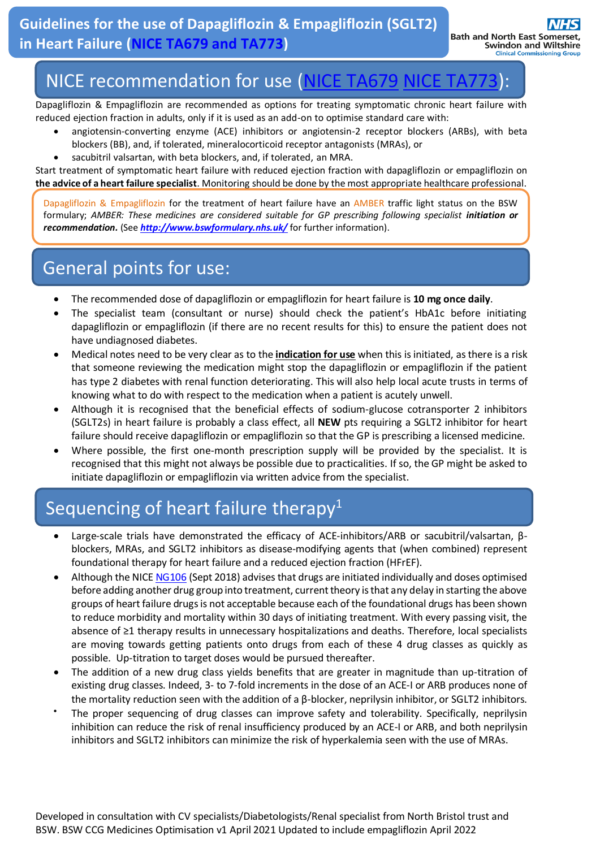# NICE recommendation for use [\(NICE TA679](https://www.nice.org.uk/guidance/TA679) [NICE TA773\)](https://www.nice.org.uk/guidance/ta773):

Dapagliflozin & Empagliflozin are recommended as options for treating symptomatic chronic heart failure with reduced ejection fraction in adults, only if it is used as an add-on to optimise standard care with:

- angiotensin-converting enzyme (ACE) inhibitors or angiotensin-2 receptor blockers (ARBs), with beta blockers (BB), and, if tolerated, mineralocorticoid receptor antagonists (MRAs), or
- sacubitril valsartan, with beta blockers, and, if tolerated, an MRA.

Start treatment of symptomatic heart failure with reduced ejection fraction with dapagliflozin or empagliflozin on **the advice of a heart failure specialist**. Monitoring should be done by the most appropriate healthcare professional.

Dapagliflozin & Empagliflozin for the treatment of heart failure have an AMBER traffic light status on the BSW formulary; *AMBER: These medicines are considered suitable for GP prescribing following specialist initiation or recommendation.* (See *<http://www.bswformulary.nhs.uk/>* for further information).

#### General points for use:

- The recommended dose of dapagliflozin or empagliflozin for heart failure is **10 mg once daily**.
- The specialist team (consultant or nurse) should check the patient's HbA1c before initiating dapagliflozin or empagliflozin (if there are no recent results for this) to ensure the patient does not have undiagnosed diabetes.
- Medical notes need to be very clear as to the **indication for use** when this is initiated, as there is a risk that someone reviewing the medication might stop the dapagliflozin or empagliflozin if the patient has type 2 diabetes with renal function deteriorating. This will also help local acute trusts in terms of knowing what to do with respect to the medication when a patient is acutely unwell.
- Although it is recognised that the beneficial effects of sodium-glucose cotransporter 2 inhibitors (SGLT2s) in heart failure is probably a class effect, all **NEW** pts requiring a SGLT2 inhibitor for heart failure should receive dapagliflozin or empagliflozin so that the GP is prescribing a licensed medicine.
- Where possible, the first one-month prescription supply will be provided by the specialist. It is recognised that this might not always be possible due to practicalities. If so, the GP might be asked to initiate dapagliflozin or empagliflozin via written advice from the specialist.

## Sequencing of heart failure therapy<sup>1</sup>

- Large-scale trials have demonstrated the efficacy of ACE-inhibitors/ARB or sacubitril/valsartan, βblockers, MRAs, and SGLT2 inhibitors as disease-modifying agents that (when combined) represent foundational therapy for heart failure and a reduced ejection fraction (HFrEF).
- Although the NIC[E NG106](https://www.nice.org.uk/guidance/ng106/resources/chronic-heart-failure-in-adults-diagnosis-and-management-pdf-66141541311685) (Sept 2018) advises that drugs are initiated individually and doses optimised before adding another drug group into treatment, current theory is that any delay in starting the above groups of heart failure drugs is not acceptable because each of the foundational drugs has been shown to reduce morbidity and mortality within 30 days of initiating treatment. With every passing visit, the absence of ≥1 therapy results in unnecessary hospitalizations and deaths. Therefore, local specialists are moving towards getting patients onto drugs from each of these 4 drug classes as quickly as possible. Up-titration to target doses would be pursued thereafter.
- The addition of a new drug class yields benefits that are greater in magnitude than up-titration of existing drug classes. Indeed, 3- to 7-fold increments in the dose of an ACE-I or ARB produces none of the mortality reduction seen with the addition of a β-blocker, neprilysin inhibitor, or SGLT2 inhibitors.
- The proper sequencing of drug classes can improve safety and tolerability. Specifically, neprilysin inhibition can reduce the risk of renal insufficiency produced by an ACE-I or ARB, and both neprilysin inhibitors and SGLT2 inhibitors can minimize the risk of hyperkalemia seen with the use of MRAs.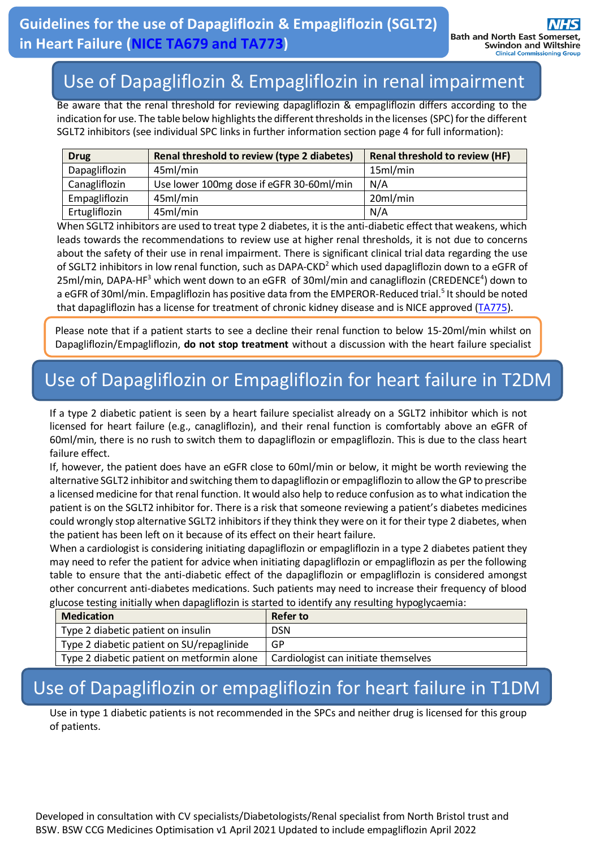first of all.

## Use of Dapagliflozin & Empagliflozin in renal impairment

Be aware that the renal threshold for reviewing dapagliflozin & empagliflozin differs according to the indication for use. The table below highlights the different thresholds in the licenses (SPC) for the different SGLT2 inhibitors (see individual SPC links in further information section page 4 for full information):

| <b>Drug</b>   | Renal threshold to review (type 2 diabetes) | <b>Renal threshold to review (HF)</b> |
|---------------|---------------------------------------------|---------------------------------------|
| Dapagliflozin | 45ml/min                                    | 15ml/min                              |
| Canagliflozin | Use lower 100mg dose if eGFR 30-60ml/min    | N/A                                   |
| Empagliflozin | 45ml/min                                    | 20ml/min                              |
| Ertugliflozin | 45ml/min                                    | N/A                                   |

When SGLT2 inhibitors are used to treat type 2 diabetes, it is the anti-diabetic effect that weakens, which leads towards the recommendations to review use at higher renal thresholds, it is not due to concerns about the safety of their use in renal impairment. There is significant clinical trial data regarding the use of SGLT2 inhibitors in low renal function, such as DAPA-CKD<sup>2</sup> which used dapagliflozin down to a eGFR of 25ml/min, DAPA-HF<sup>3</sup> which went down to an eGFR of 30ml/min and canagliflozin (CREDENCE<sup>4</sup>) down to a eGFR of 30ml/min. Empagliflozin has positive data from the EMPEROR-Reduced trial.<sup>5</sup> It should be noted that dapagliflozin has a license for treatment of chronic kidney disease and is NICE approved [\(TA775\)](https://www.nice.org.uk/guidance/TA775).

Please note that if a patient starts to see a decline their renal function to below 15-20ml/min whilst on Dapagliflozin/Empagliflozin, **do not stop treatment** without a discussion with the heart failure specialist

# Use of Dapagliflozin or Empagliflozin for heart failure in T2DM

If a type 2 diabetic patient is seen by a heart failure specialist already on a SGLT2 inhibitor which is not licensed for heart failure (e.g., canagliflozin), and their renal function is comfortably above an eGFR of 60ml/min, there is no rush to switch them to dapagliflozin or empagliflozin. This is due to the class heart failure effect.

If, however, the patient does have an eGFR close to 60ml/min or below, it might be worth reviewing the alternative SGLT2 inhibitor and switching them to dapagliflozin or empagliflozin to allow the GP to prescribe a licensed medicine for that renal function. It would also help to reduce confusion as to what indication the patient is on the SGLT2 inhibitor for. There is a risk that someone reviewing a patient's diabetes medicines could wrongly stop alternative SGLT2 inhibitors if they think they were on it for their type 2 diabetes, when the patient has been left on it because of its effect on their heart failure.

When a cardiologist is considering initiating dapagliflozin or empagliflozin in a type 2 diabetes patient they may need to refer the patient for advice when initiating dapagliflozin or empagliflozin as per the following table to ensure that the anti-diabetic effect of the dapagliflozin or empagliflozin is considered amongst other concurrent anti-diabetes medications. Such patients may need to increase their frequency of blood glucose testing initially when dapagliflozin is started to identify any resulting hypoglycaemia:

|                                           | וויסטיכ נכינות, וווינוסוו , יידוכו וסטיס, ווויסבורוט פנטו נכט נט וסכותות , טווץ ו כפטונות, ווין סטקו וסטיר |                                      |  |
|-------------------------------------------|------------------------------------------------------------------------------------------------------------|--------------------------------------|--|
|                                           | <b>Medication</b>                                                                                          | Refer to                             |  |
|                                           | Type 2 diabetic patient on insulin                                                                         | <b>DSN</b>                           |  |
| Type 2 diabetic patient on SU/repaglinide |                                                                                                            | GP                                   |  |
|                                           | Type 2 diabetic patient on metformin alone                                                                 | Cardiologist can initiate themselves |  |

## Use of Dapagliflozin or empagliflozin for heart failure in T1DM

Use in type 1 diabetic patients is not recommended in the SPCs and neither drug is licensed for this group of patients.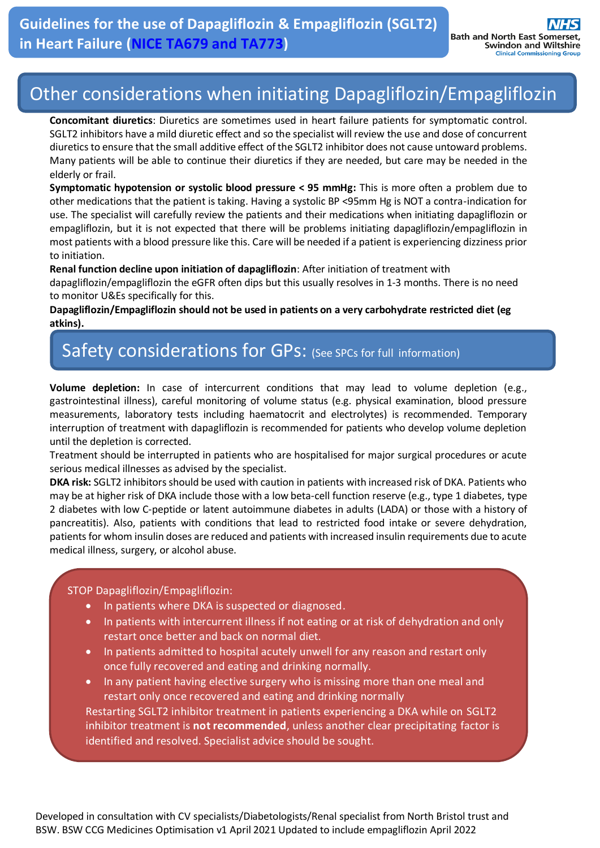# Other considerations when initiating Dapagliflozin/Empagliflozin

**Concomitant diuretics**: Diuretics are sometimes used in heart failure patients for symptomatic control. SGLT2 inhibitors have a mild diuretic effect and so the specialist will review the use and dose of concurrent diureticsto ensure that the small additive effect of the SGLT2 inhibitor does not cause untoward problems. Many patients will be able to continue their diuretics if they are needed, but care may be needed in the elderly or frail.

**Symptomatic hypotension or systolic blood pressure < 95 mmHg:** This is more often a problem due to other medications that the patient is taking. Having a systolic BP <95mm Hg is NOT a contra-indication for use. The specialist will carefully review the patients and their medications when initiating dapagliflozin or empagliflozin, but it is not expected that there will be problems initiating dapagliflozin/empagliflozin in most patients with a blood pressure like this. Care will be needed if a patient is experiencing dizziness prior to initiation.

**Renal function decline upon initiation of dapagliflozin**: After initiation of treatment with

dapagliflozin/empagliflozin the eGFR often dips but this usually resolves in 1-3 months. There is no need to monitor U&Es specifically for this.

**Dapagliflozin/Empagliflozin should not be used in patients on a very carbohydrate restricted diet (eg atkins).**

#### Safety considerations for GPs: (See SPCs for full information)

**Volume depletion:** In case of intercurrent conditions that may lead to volume depletion (e.g., gastrointestinal illness), careful monitoring of volume status (e.g. physical examination, blood pressure measurements, laboratory tests including haematocrit and electrolytes) is recommended. Temporary interruption of treatment with dapagliflozin is recommended for patients who develop volume depletion until the depletion is corrected.

Treatment should be interrupted in patients who are hospitalised for major surgical procedures or acute serious medical illnesses as advised by the specialist.

**DKA risk:** SGLT2 inhibitors should be used with caution in patients with increased risk of DKA. Patients who may be at higher risk of DKA include those with a low beta-cell function reserve (e.g., type 1 diabetes, type 2 diabetes with low C-peptide or latent autoimmune diabetes in adults (LADA) or those with a history of pancreatitis). Also, patients with conditions that lead to restricted food intake or severe dehydration, patients for whom insulin doses are reduced and patients with increased insulin requirements due to acute medical illness, surgery, or alcohol abuse.

#### STOP Dapagliflozin/Empagliflozin:

- In patients where DKA is suspected or diagnosed.
- In patients with intercurrent illness if not eating or at risk of dehydration and only restart once better and back on normal diet.
- In patients admitted to hospital acutely unwell for any reason and restart only once fully recovered and eating and drinking normally.
- In any patient having elective surgery who is missing more than one meal and restart only once recovered and eating and drinking normally Restarting SGLT2 inhibitor treatment in patients experiencing a DKA while on SGLT2 inhibitor treatment is **not recommended**, unless another clear precipitating factor is identified and resolved. Specialist advice should be sought.